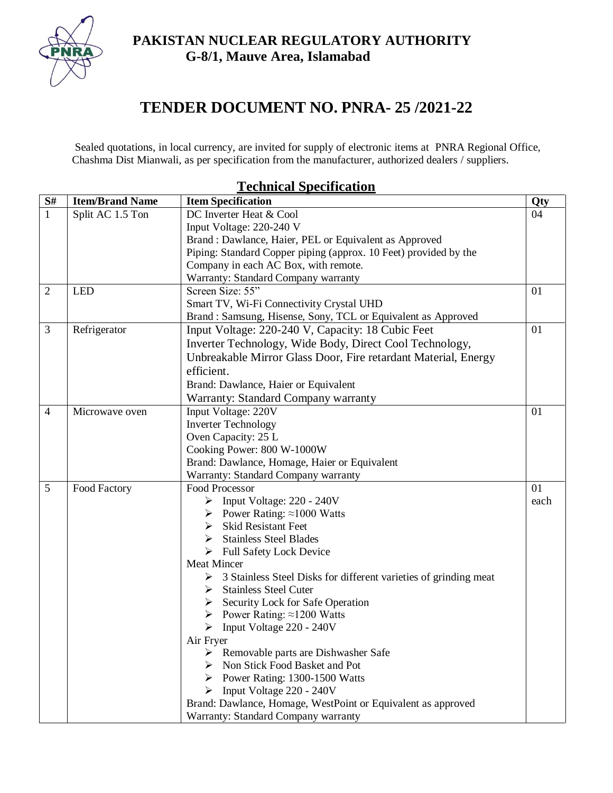**PAKISTAN NUCLEAR REGULATORY AUTHORITY G-8/1, Mauve Area, Islamabad**



# **TENDER DOCUMENT NO. PNRA- 25 /2021-22**

Sealed quotations, in local currency, are invited for supply of electronic items at PNRA Regional Office, Chashma Dist Mianwali, as per specification from the manufacturer, authorized dealers / suppliers.

#### **S# Item/Brand Name Item Specification Qty** 1 | Split AC 1.5 Ton | DC Inverter Heat & Cool Input Voltage: 220-240 V Brand : Dawlance, Haier, PEL or Equivalent as Approved Piping: Standard Copper piping (approx. 10 Feet) provided by the Company in each AC Box, with remote. Warranty: Standard Company warranty 04 2 LED Screen Size: 55" Smart TV, Wi-Fi Connectivity Crystal UHD Brand : Samsung, Hisense, Sony, TCL or Equivalent as Approved 01 3 | Refrigerator | Input Voltage: 220-240 V, Capacity: 18 Cubic Feet Inverter Technology, Wide Body, Direct Cool Technology, Unbreakable Mirror Glass Door, Fire retardant Material, Energy efficient. Brand: Dawlance, Haier or Equivalent Warranty: Standard Company warranty 01 4 | Microwave oven | Input Voltage: 220V Inverter Technology Oven Capacity: 25 L Cooking Power: 800 W-1000W Brand: Dawlance, Homage, Haier or Equivalent Warranty: Standard Company warranty 01 5 Food Factory [Food Processor](https://www.daraz.pk/products/wf-8819-i261061888-s1479143832.html?spm=a2a0e.searchlistcategory.list.26.68136242XhC7ew&search=1)   $\triangleright$  Input Voltage: 220 - 240V Power Rating: ≈1000 Watts  $\triangleright$  Skid Resistant Feet  $\triangleright$  Stainless Steel Blades  $\triangleright$  Full Safety Lock Device Meat Mincer 3 Stainless Steel Disks for different varieties of grinding meat  $\triangleright$  Stainless Steel Cuter  $\triangleright$  Security Lock for Safe Operation Power Rating: ≈1200 Watts Input Voltage 220 - 240V Air Fryer  $\triangleright$  Removable parts are Dishwasher Safe Non Stick Food Basket and Pot Power Rating:  $1300-1500$  Watts  $\triangleright$  Input Voltage 220 - 240V Brand: Dawlance, Homage, WestPoint or Equivalent as approved 01 each

Warranty: Standard Company warranty

# **Technical Specification**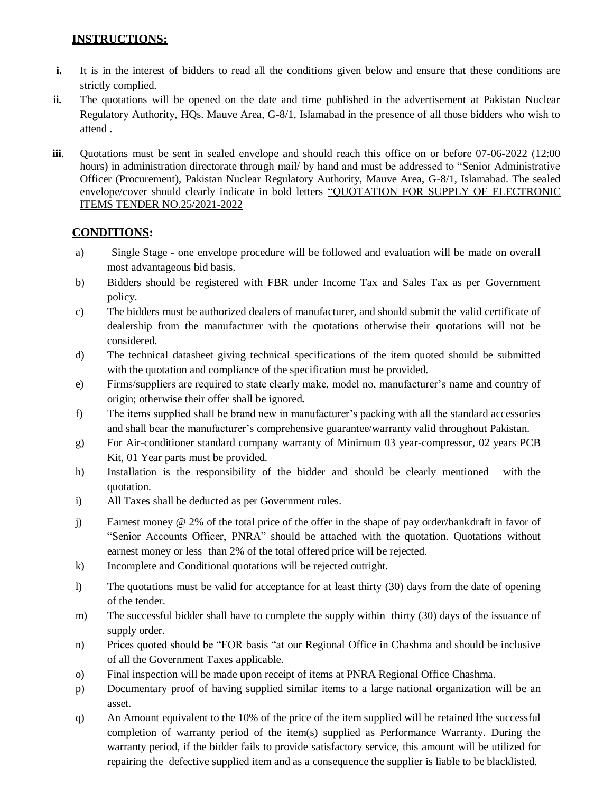### **INSTRUCTIONS:**

- **i.** It is in the interest of bidders to read all the conditions given below and ensure that these conditions are strictly complied.
- **ii.** The quotations will be opened on the date and time published in the advertisement at Pakistan Nuclear Regulatory Authority, HQs. Mauve Area, G-8/1, Islamabad in the presence of all those bidders who wish to attend .
- **iii.** Quotations must be sent in sealed envelope and should reach this office on or before 07-06-2022 (12:00 hours) in administration directorate through mail/ by hand and must be addressed to "Senior Administrative Officer (Procurement), Pakistan Nuclear Regulatory Authority, Mauve Area, G-8/1, Islamabad. The sealed envelope/cover should clearly indicate in bold letters "QUOTATION FOR SUPPLY OF ELECTRONIC ITEMS TENDER NO.25/2021-2022

## **CONDITIONS:**

- a) Single Stage one envelope procedure will be followed and evaluation will be made on overall most advantageous bid basis.
- b) Bidders should be registered with FBR under Income Tax and Sales Tax as per Government policy.
- c) The bidders must be authorized dealers of manufacturer, and should submit the valid certificate of dealership from the manufacturer with the quotations otherwise their quotations will not be considered.
- d) The technical datasheet giving technical specifications of the item quoted should be submitted with the quotation and compliance of the specification must be provided.
- e) Firms/suppliers are required to state clearly make, model no, manufacturer's name and country of origin; otherwise their offer shall be ignored**.**
- f) The items supplied shall be brand new in manufacturer's packing with all the standard accessories and shall bear the manufacturer's comprehensive guarantee/warranty valid throughout Pakistan.
- g) For Air-conditioner standard company warranty of Minimum 03 year-compressor, 02 years PCB Kit, 01 Year parts must be provided.
- h) Installation is the responsibility of the bidder and should be clearly mentioned with the quotation.
- i) All Taxes shall be deducted as per Government rules.
- j) Earnest money @ 2% of the total price of the offer in the shape of pay order/bankdraft in favor of "Senior Accounts Officer, PNRA" should be attached with the quotation. Quotations without earnest money or less than 2% of the total offered price will be rejected.
- k) Incomplete and Conditional quotations will be rejected outright.
- l) The quotations must be valid for acceptance for at least thirty (30) days from the date of opening of the tender.
- m) The successful bidder shall have to complete the supply within thirty (30) days of the issuance of supply order.
- n) Prices quoted should be "FOR basis "at our Regional Office in Chashma and should be inclusive of all the Government Taxes applicable.
- o) Final inspection will be made upon receipt of items at PNRA Regional Office Chashma.
- p) Documentary proof of having supplied similar items to a large national organization will be an asset.
- q) An Amount equivalent to the 10% of the price of the item supplied will be retained the successful completion of warranty period of the item(s) supplied as Performance Warranty. During the warranty period, if the bidder fails to provide satisfactory service, this amount will be utilized for repairing the defective supplied item and as a consequence the supplier is liable to be blacklisted.